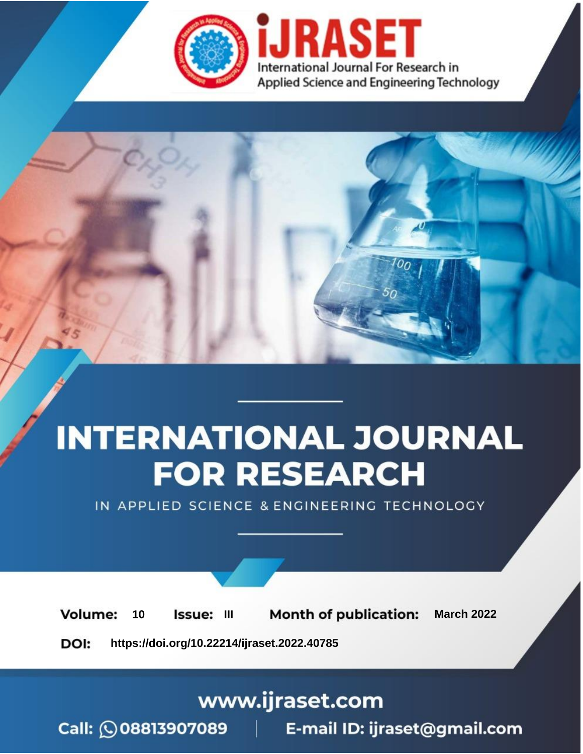

# **INTERNATIONAL JOURNAL FOR RESEARCH**

IN APPLIED SCIENCE & ENGINEERING TECHNOLOGY

**Month of publication: Volume:** 10 Issue: III **March 2022** DOI: https://doi.org/10.22214/ijraset.2022.40785

www.ijraset.com

Call: 008813907089 | E-mail ID: ijraset@gmail.com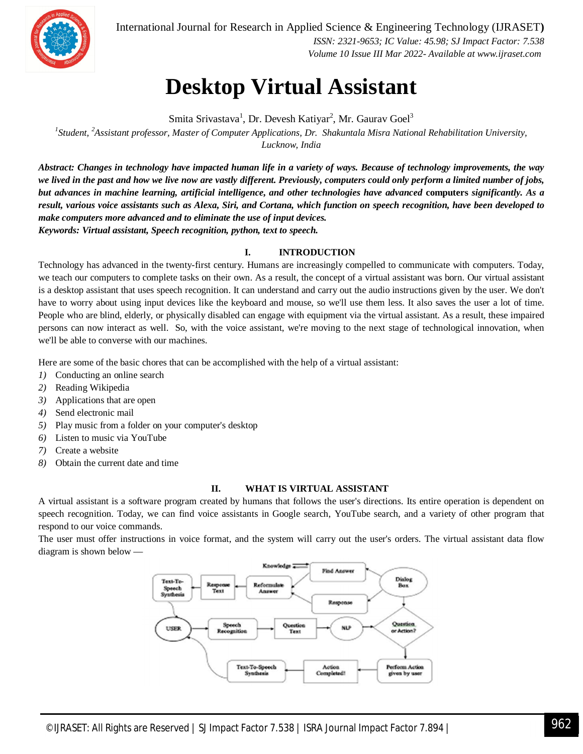

International Journal for Research in Applied Science & Engineering Technology (IJRASET**)**  *ISSN: 2321-9653; IC Value: 45.98; SJ Impact Factor: 7.538 Volume 10 Issue III Mar 2022- Available at www.ijraset.com*

### **Desktop Virtual Assistant**

Smita Srivastava<sup>1</sup>, Dr. Devesh Katiyar<sup>2</sup>, Mr. Gaurav Goel<sup>3</sup>

*1 Student, <sup>2</sup>Assistant professor, Master of Computer Applications, Dr. Shakuntala Misra National Rehabilitation University, Lucknow, India*

*Abstract: Changes in technology have impacted human life in a variety of ways. Because of technology improvements, the way we lived in the past and how we live now are vastly different. Previously, computers could only perform a limited number of jobs, but advances in machine learning, artificial intelligence, and other technologies have advanced* **computers** *significantly. As a result, various voice assistants such as Alexa, Siri, and Cortana, which function on speech recognition, have been developed to make computers more advanced and to eliminate the use of input devices. Keywords: Virtual assistant, Speech recognition, python, text to speech.*

#### **I. INTRODUCTION**

Technology has advanced in the twenty-first century. Humans are increasingly compelled to communicate with computers. Today, we teach our computers to complete tasks on their own. As a result, the concept of a virtual assistant was born. Our virtual assistant is a desktop assistant that uses speech recognition. It can understand and carry out the audio instructions given by the user. We don't have to worry about using input devices like the keyboard and mouse, so we'll use them less. It also saves the user a lot of time. People who are blind, elderly, or physically disabled can engage with equipment via the virtual assistant. As a result, these impaired persons can now interact as well. So, with the voice assistant, we're moving to the next stage of technological innovation, when we'll be able to converse with our machines.

Here are some of the basic chores that can be accomplished with the help of a virtual assistant:

- *1)* Conducting an online search
- *2)* Reading Wikipedia
- *3)* Applications that are open
- *4)* Send electronic mail
- *5)* Play music from a folder on your computer's desktop
- *6)* Listen to music via YouTube
- *7)* Create a website
- *8)* Obtain the current date and time

#### **II. WHAT IS VIRTUAL ASSISTANT**

A virtual assistant is a software program created by humans that follows the user's directions. Its entire operation is dependent on speech recognition. Today, we can find voice assistants in Google search, YouTube search, and a variety of other program that respond to our voice commands.

The user must offer instructions in voice format, and the system will carry out the user's orders. The virtual assistant data flow diagram is shown below —

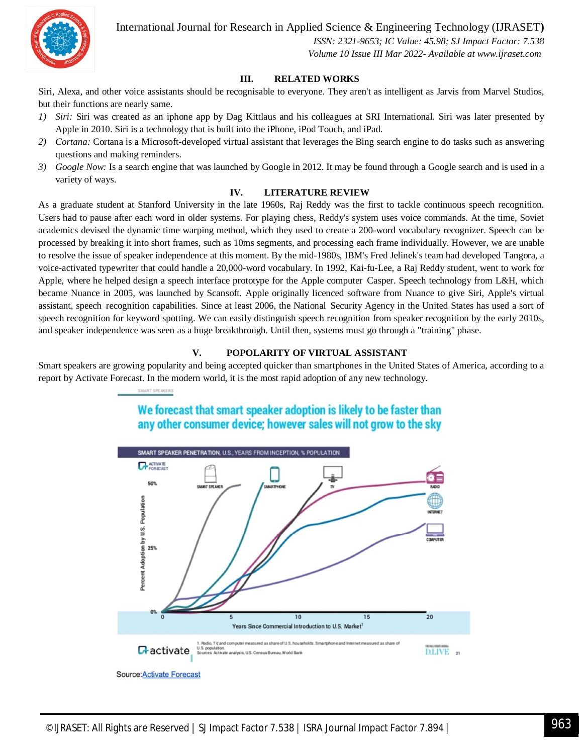

International Journal for Research in Applied Science & Engineering Technology (IJRASET**)**

 *ISSN: 2321-9653; IC Value: 45.98; SJ Impact Factor: 7.538 Volume 10 Issue III Mar 2022- Available at www.ijraset.com*

#### **III. RELATED WORKS**

Siri, Alexa, and other voice assistants should be recognisable to everyone. They aren't as intelligent as Jarvis from Marvel Studios, but their functions are nearly same.

- *1) Siri:* Siri was created as an iphone app by Dag Kittlaus and his colleagues at SRI International. Siri was later presented by Apple in 2010. Siri is a technology that is built into the iPhone, iPod Touch, and iPad.
- *2) Cortana:* Cortana is a Microsoft-developed virtual assistant that leverages the Bing search engine to do tasks such as answering questions and making reminders.
- *3) Google Now:* Is a search engine that was launched by Google in 2012. It may be found through a Google search and is used in a variety of ways.

#### **IV. LITERATURE REVIEW**

As a graduate student at Stanford University in the late 1960s, Raj Reddy was the first to tackle continuous speech recognition. Users had to pause after each word in older systems. For playing chess, Reddy's system uses voice commands. At the time, Soviet academics devised the dynamic time warping method, which they used to create a 200-word vocabulary recognizer. Speech can be processed by breaking it into short frames, such as 10ms segments, and processing each frame individually. However, we are unable to resolve the issue of speaker independence at this moment. By the mid-1980s, IBM's Fred Jelinek's team had developed Tangora, a voice-activated typewriter that could handle a 20,000-word vocabulary. In 1992, Kai-fu-Lee, a Raj Reddy student, went to work for Apple, where he helped design a speech interface prototype for the Apple computer Casper. Speech technology from L&H, which became Nuance in 2005, was launched by Scansoft. Apple originally licenced software from Nuance to give Siri, Apple's virtual assistant, speech recognition capabilities. Since at least 2006, the National Security Agency in the United States has used a sort of speech recognition for keyword spotting. We can easily distinguish speech recognition from speaker recognition by the early 2010s, and speaker independence was seen as a huge breakthrough. Until then, systems must go through a "training" phase.

#### **V. POPOLARITY OF VIRTUAL ASSISTANT**

Smart speakers are growing popularity and being accepted quicker than smartphones in the United States of America, according to a report by Activate Forecast. In the modern world, it is the most rapid adoption of any new technology.

> We forecast that smart speaker adoption is likely to be faster than any other consumer device; however sales will not grow to the sky

SMART SPEAKERS

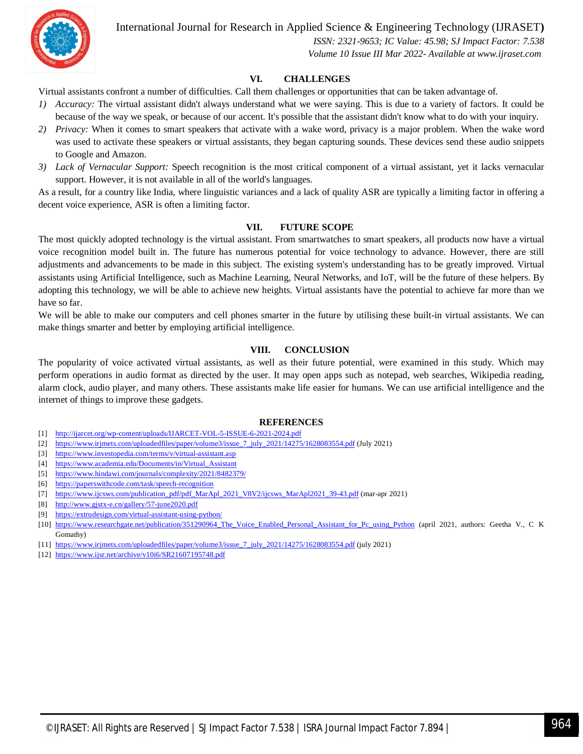![](_page_3_Picture_0.jpeg)

International Journal for Research in Applied Science & Engineering Technology (IJRASET**)**

 *ISSN: 2321-9653; IC Value: 45.98; SJ Impact Factor: 7.538 Volume 10 Issue III Mar 2022- Available at www.ijraset.com*

#### **VI. CHALLENGES**

Virtual assistants confront a number of difficulties. Call them challenges or opportunities that can be taken advantage of.

- *1) Accuracy:* The virtual assistant didn't always understand what we were saying. This is due to a variety of factors. It could be because of the way we speak, or because of our accent. It's possible that the assistant didn't know what to do with your inquiry.
- *2) Privacy:* When it comes to smart speakers that activate with a wake word, privacy is a major problem. When the wake word was used to activate these speakers or virtual assistants, they began capturing sounds. These devices send these audio snippets to Google and Amazon.
- *3) Lack of Vernacular Support:* Speech recognition is the most critical component of a virtual assistant, yet it lacks vernacular support. However, it is not available in all of the world's languages.

As a result, for a country like India, where linguistic variances and a lack of quality ASR are typically a limiting factor in offering a decent voice experience, ASR is often a limiting factor.

#### **VII. FUTURE SCOPE**

The most quickly adopted technology is the virtual assistant. From smartwatches to smart speakers, all products now have a virtual voice recognition model built in. The future has numerous potential for voice technology to advance. However, there are still adjustments and advancements to be made in this subject. The existing system's understanding has to be greatly improved. Virtual assistants using Artificial Intelligence, such as Machine Learning, Neural Networks, and IoT, will be the future of these helpers. By adopting this technology, we will be able to achieve new heights. Virtual assistants have the potential to achieve far more than we have so far.

We will be able to make our computers and cell phones smarter in the future by utilising these built-in virtual assistants. We can make things smarter and better by employing artificial intelligence.

#### **VIII. CONCLUSION**

The popularity of voice activated virtual assistants, as well as their future potential, were examined in this study. Which may perform operations in audio format as directed by the user. It may open apps such as notepad, web searches, Wikipedia reading, alarm clock, audio player, and many others. These assistants make life easier for humans. We can use artificial intelligence and the internet of things to improve these gadgets.

#### **REFERENCES**

- [1] http://ijarcet.org/wp-content/uploads/IJARCET-VOL-5-ISSUE-6-2021-2024.pdf
- [2] https://www.irjmets.com/uploadedfiles/paper/volume3/issue\_7\_july\_2021/14275/1628083554.pdf (July 2021)
- [3] https://www.investopedia.com/terms/v/virtual-assistant.asp
- [4] https://www.academia.edu/Documents/in/Virtual\_Assistant
- [5] https://www.hindawi.com/journals/complexity/2021/8482379/
- [6] https://paperswithcode.com/task/speech-recognition
- [7] https://www.ijcsws.com/publication\_pdf/pdf\_MarApl\_2021\_V8V2/ijcsws\_MarApl2021\_39-43.pdf (mar-apr 2021)
- [8] http://www.gjstx-e.cn/gallery/57-june2020.pdf
- [9] https://extrudesign.com/virtual-assistant-using-python/
- [10] https://www.researchgate.net/publication/351290964\_The\_Voice\_Enabled\_Personal\_Assistant\_for\_Pc\_using\_Python (april 2021, authors: Geetha V., C K Gomathy)
- [11] https://www.irjmets.com/uploadedfiles/paper/volume3/issue\_7\_july\_2021/14275/1628083554.pdf (july 2021)
- [12] https://www.ijsr.net/archive/v10i6/SR21607195748.pdf